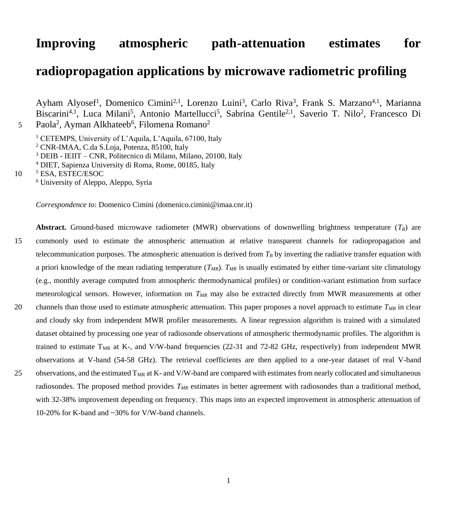# **Improving atmospheric path-attenuation estimates for**

## **radiopropagation applications by microwave radiometric profiling**

Ayham Alyosef<sup>1</sup>, Domenico Cimini<sup>2,1</sup>, Lorenzo Luini<sup>3</sup>, Carlo Riva<sup>3</sup>, Frank S. Marzano<sup>4,1</sup>, Marianna Biscarini<sup>4,1</sup>, Luca Milani<sup>5</sup>, Antonio Martellucci<sup>5</sup>, Sabrina Gentile<sup>2,1</sup>, Saverio T. Nilo<sup>2</sup>, Francesco Di Paola<sup>2</sup>, Ayman Alkhateeb<sup>6</sup>, Filomena Romano<sup>2</sup>

<sup>1</sup> CETEMPS, University of L'Aquila, L'Aquila, 67100, Italy

<sup>2</sup> CNR-IMAA, C.da S.Loja, Potenza, 85100, Italy

<sup>3</sup> DEIB - IEIIT – CNR, Politecnico di Milano, Milano, 20100, Italy

<sup>4</sup> DIET, Sapienza University di Roma, Rome, 00185, Italy

10 <sup>5</sup> ESA, ESTEC/ESOC <sup>6</sup> University of Aleppo, Aleppo, Syria

5

*Correspondence to*: Domenico Cimini (domenico.cimini@imaa.cnr.it)

**Abstract.** Ground-based microwave radiometer (MWR) observations of downwelling brightness temperature  $(T_B)$  are 15 commonly used to estimate the atmospheric attenuation at relative transparent channels for radiopropagation and telecommunication purposes. The atmospheric attenuation is derived from  $T_B$  by inverting the radiative transfer equation with a priori knowledge of the mean radiating temperature (*TMR*). *TMR* is usually estimated by either time-variant site climatology (e.g., monthly average computed from atmospheric thermodynamical profiles) or condition-variant estimation from surface meteorological sensors. However, information on *TMR* may also be extracted directly from MWR measurements at other 20 channels than those used to estimate atmospheric attenuation. This paper proposes a novel approach to estimate *TMR* in clear and cloudy sky from independent MWR profiler measurements. A linear regression algorithm is trained with a simulated dataset obtained by processing one year of radiosonde observations of atmospheric thermodynamic profiles. The algorithm is trained to estimate  $T_{MR}$  at K-, and V/W-band frequencies (22-31 and 72-82 GHz, respectively) from independent MWR observations at V-band (54-58 GHz). The retrieval coefficients are then applied to a one-year dataset of real V-band 25 observations, and the estimated  $T_{MR}$  at K- and V/W-band are compared with estimates from nearly collocated and simultaneous radiosondes. The proposed method provides *TMR* estimates in better agreement with radiosondes than a traditional method, with 32-38% improvement depending on frequency. This maps into an expected improvement in atmospheric attenuation of

10-20% for K-band and ~30% for V/W-band channels.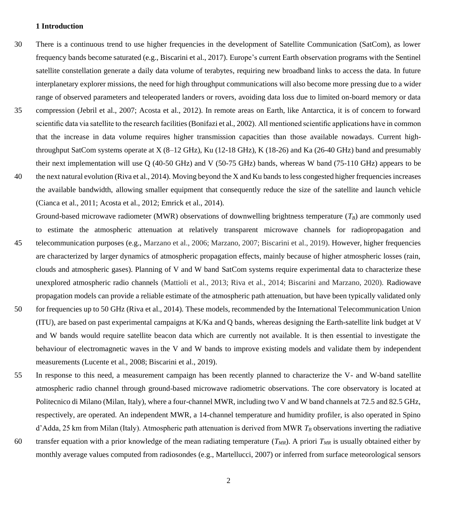### **1 Introduction**

- 30 There is a continuous trend to use higher frequencies in the development of Satellite Communication (SatCom), as lower frequency bands become saturated (e.g., Biscarini et al., 2017). Europe's current Earth observation programs with the Sentinel satellite constellation generate a daily data volume of terabytes, requiring new broadband links to access the data. In future interplanetary explorer missions, the need for high throughput communications will also become more pressing due to a wider range of observed parameters and teleoperated landers or rovers, avoiding data loss due to limited on-board memory or data
- 35 compression (Jebril et al., 2007; Acosta et al., 2012). In remote areas on Earth, like Antarctica, it is of concern to forward scientific data via satellite to the research facilities(Bonifazi et al., 2002). All mentioned scientific applications have in common that the increase in data volume requires higher transmission capacities than those available nowadays. Current highthroughput SatCom systems operate at  $X(8-12 \text{ GHz})$ , Ku  $(12-18 \text{ GHz})$ , K  $(18-26)$  and Ka  $(26-40 \text{ GHz})$  band and presumably their next implementation will use Q (40-50 GHz) and V (50-75 GHz) bands, whereas W band (75-110 GHz) appears to be
- 40 the next natural evolution (Riva et al., 2014). Moving beyond the X and Ku bands to less congested higher frequencies increases the available bandwidth, allowing smaller equipment that consequently reduce the size of the satellite and launch vehicle (Cianca et al., 2011; Acosta et al., 2012; Emrick et al., 2014).

Ground-based microwave radiometer (MWR) observations of downwelling brightness temperature (*TB*) are commonly used to estimate the atmospheric attenuation at relatively transparent microwave channels for radiopropagation and 45 telecommunication purposes (e.g., Marzano et al., 2006; Marzano, 2007; Biscarini et al., 2019). However, higher frequencies are characterized by larger dynamics of atmospheric propagation effects, mainly because of higher atmospheric losses (rain, clouds and atmospheric gases). Planning of V and W band SatCom systems require experimental data to characterize these unexplored atmospheric radio channels (Mattioli et al., 2013; Riva et al., 2014; Biscarini and Marzano, 2020). Radiowave propagation models can provide a reliable estimate of the atmospheric path attenuation, but have been typically validated only 50 for frequencies up to 50 GHz (Riva et al., 2014). These models, recommended by the International Telecommunication Union (ITU), are based on past experimental campaigns at K/Ka and Q bands, whereas designing the Earth-satellite link budget at V and W bands would require satellite beacon data which are currently not available. It is then essential to investigate the behaviour of electromagnetic waves in the V and W bands to improve existing models and validate them by independent measurements (Lucente et al., 2008; Biscarini et al., 2019).

- 55 In response to this need, a measurement campaign has been recently planned to characterize the V- and W-band satellite atmospheric radio channel through ground-based microwave radiometric observations. The core observatory is located at Politecnico di Milano (Milan, Italy), where a four-channel MWR, including two V and W band channels at 72.5 and 82.5 GHz, respectively, are operated. An independent MWR, a 14-channel temperature and humidity profiler, is also operated in Spino d'Adda, 25 km from Milan (Italy). Atmospheric path attenuation is derived from MWR *T<sup>B</sup>* observations inverting the radiative
- 60 transfer equation with a prior knowledge of the mean radiating temperature  $(T_{MR})$ . A priori  $T_{MR}$  is usually obtained either by monthly average values computed from radiosondes (e.g., Martellucci, 2007) or inferred from surface meteorological sensors
	- 2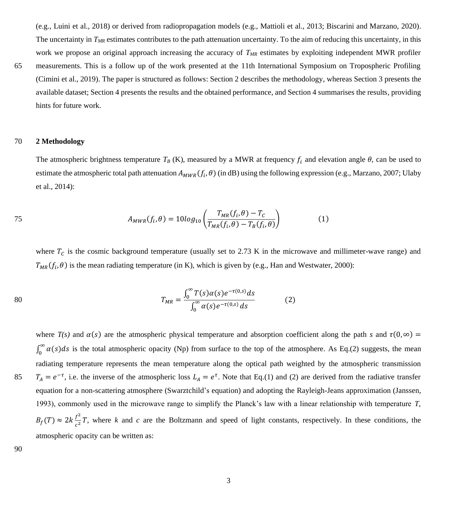(e.g., Luini et al., 2018) or derived from radiopropagation models (e.g., Mattioli et al., 2013; Biscarini and Marzano, 2020). The uncertainty in  $T_{MR}$  estimates contributes to the path attenuation uncertainty. To the aim of reducing this uncertainty, in this work we propose an original approach increasing the accuracy of  $T_{MR}$  estimates by exploiting independent MWR profiler

65 measurements. This is a follow up of the work presented at the 11th International Symposium on Tropospheric Profiling (Cimini et al., 2019). The paper is structured as follows: Section 2 describes the methodology, whereas Section 3 presents the available dataset; Section 4 presents the results and the obtained performance, and Section 4 summarises the results, providing hints for future work.

## 70 **2 Methodology**

The atmospheric brightness temperature  $T_B$  (K), measured by a MWR at frequency  $f_i$  and elevation angle  $\theta$ , can be used to estimate the atmospheric total path attenuation  $A_{MWR}(f_i, \theta)$  (in dB) using the following expression (e.g., Marzano, 2007; Ulaby et al., 2014):

75 
$$
A_{MWR}(f_i, \theta) = 10log_{10}\left(\frac{T_{MR}(f_i, \theta) - T_C}{T_{MR}(f_i, \theta) - T_B(f_i, \theta)}\right)
$$
(1)

where  $T_c$  is the cosmic background temperature (usually set to 2.73 K in the microwave and millimeter-wave range) and  $T_{MR}(f_i, \theta)$  is the mean radiating temperature (in K), which is given by (e.g., Han and Westwater, 2000):

80 
$$
T_{MR} = \frac{\int_0^\infty T(s)\alpha(s)e^{-\tau(0,s)}ds}{\int_0^\infty \alpha(s)e^{-\tau(0,s)}ds}
$$
 (2)

where 
$$
T(s)
$$
 and  $\alpha(s)$  are the atmospheric physical temperature and absorption coefficient along the path *s* and  $\tau(0, \infty) = \int_0^\infty \alpha(s)ds$  is the total atmospheric opacity (Np) from surface to the top of the atmosphere. As Eq.(2) suggests, the mean radiating temperature represents the mean temperature along the optical path weighted by the atmospheric transmission  $T_A = e^{-\tau}$ , i.e. the inverse of the atmospheric loss  $L_A = e^{\tau}$ . Note that Eq.(1) and (2) are derived from the radiative transfer equation for a non-scattering atmosphere (Swarztchild's equation) and adopting the Rayleigh-Jeans approximation (Janssen, 1993), commonly used in the microwave range to simplify the Planck's law with a linear relationship with temperature *T*,  $B_f(T) \approx 2k \frac{f^2}{c^2}T$ , where *k* and *c* are the Boltzmann and speed of light constants, respectively. In these conditions, the atmospheric opacity can be written as:

90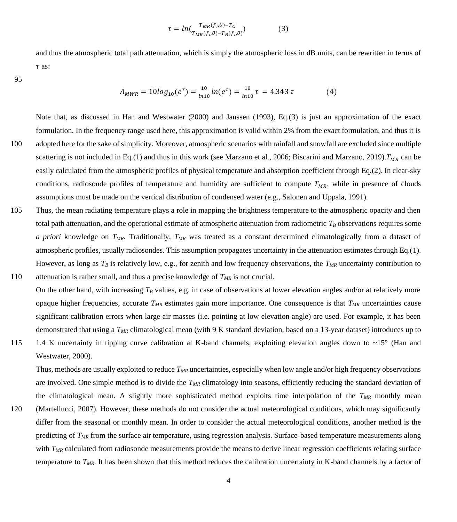$$
\tau = ln(\frac{r_{MR}(f_i, \theta) - r_c}{r_{MR}(f_i, \theta) - r_B(f_i, \theta)})
$$
(3)

and thus the atmospheric total path attenuation, which is simply the atmospheric loss in dB units, can be rewritten in terms of  $\tau$  as:

95

$$
A_{MWR} = 10log_{10}(e^{\tau}) = \frac{10}{\ln 10}ln(e^{\tau}) = \frac{10}{\ln 10}\tau = 4.343\tau
$$
 (4)

Note that, as discussed in Han and Westwater (2000) and Janssen (1993), Eq.(3) is just an approximation of the exact formulation. In the frequency range used here, this approximation is valid within 2% from the exact formulation, and thus it is 100 adopted here for the sake of simplicity. Moreover, atmospheric scenarios with rainfall and snowfall are excluded since multiple scattering is not included in Eq.(1) and thus in this work (see Marzano et al., 2006; Biscarini and Marzano, 2019).  $T_{MR}$  can be easily calculated from the atmospheric profiles of physical temperature and absorption coefficient through Eq.(2). In clear-sky conditions, radiosonde profiles of temperature and humidity are sufficient to compute  $T_{MR}$ , while in presence of clouds assumptions must be made on the vertical distribution of condensed water (e.g., Salonen and Uppala, 1991).

105 Thus, the mean radiating temperature plays a role in mapping the brightness temperature to the atmospheric opacity and then total path attenuation, and the operational estimate of atmospheric attenuation from radiometric *T<sup>B</sup>* observations requires some *a priori* knowledge on *TMR*. Traditionally, *TMR* was treated as a constant determined climatologically from a dataset of atmospheric profiles, usually radiosondes. This assumption propagates uncertainty in the attenuation estimates through Eq.(1). However, as long as  $T_B$  is relatively low, e.g., for zenith and low frequency observations, the  $T_{MR}$  uncertainty contribution to 110 attenuation is rather small, and thus a precise knowledge of *TMR* is not crucial.

On the other hand, with increasing *T<sup>B</sup>* values, e.g. in case of observations at lower elevation angles and/or at relatively more opaque higher frequencies, accurate *TMR* estimates gain more importance. One consequence is that *TMR* uncertainties cause significant calibration errors when large air masses (i.e. pointing at low elevation angle) are used. For example, it has been demonstrated that using a *TMR* climatological mean (with 9 K standard deviation, based on a 13-year dataset) introduces up to

115 1.4 K uncertainty in tipping curve calibration at K-band channels, exploiting elevation angles down to ~15° (Han and Westwater, 2000).

Thus, methods are usually exploited to reduce *TMR* uncertainties, especially when low angle and/or high frequency observations are involved. One simple method is to divide the *TMR* climatology into seasons, efficiently reducing the standard deviation of the climatological mean. A slightly more sophisticated method exploits time interpolation of the *TMR* monthly mean

120 (Martellucci, 2007). However, these methods do not consider the actual meteorological conditions, which may significantly differ from the seasonal or monthly mean. In order to consider the actual meteorological conditions, another method is the predicting of *TMR* from the surface air temperature, using regression analysis. Surface-based temperature measurements along with *T<sub>MR</sub>* calculated from radiosonde measurements provide the means to derive linear regression coefficients relating surface temperature to *TMR*. It has been shown that this method reduces the calibration uncertainty in K-band channels by a factor of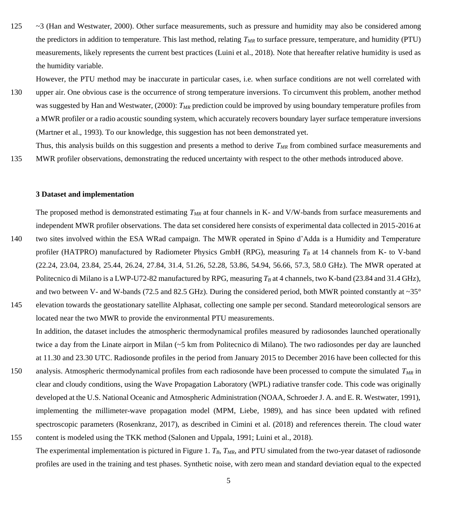125 ~3 (Han and Westwater, 2000). Other surface measurements, such as pressure and humidity may also be considered among the predictors in addition to temperature. This last method, relating *TMR* to surface pressure, temperature, and humidity (PTU) measurements, likely represents the current best practices (Luini et al., 2018). Note that hereafter relative humidity is used as the humidity variable.

However, the PTU method may be inaccurate in particular cases, i.e. when surface conditions are not well correlated with

130 upper air. One obvious case is the occurrence of strong temperature inversions. To circumvent this problem, another method was suggested by Han and Westwater, (2000): *TMR* prediction could be improved by using boundary temperature profiles from a MWR profiler or a radio acoustic sounding system, which accurately recovers boundary layer surface temperature inversions (Martner et al., 1993). To our knowledge, this suggestion has not been demonstrated yet.

Thus, this analysis builds on this suggestion and presents a method to derive *TMR* from combined surface measurements and 135 MWR profiler observations, demonstrating the reduced uncertainty with respect to the other methods introduced above.

### **3 Dataset and implementation**

- The proposed method is demonstrated estimating *TMR* at four channels in K- and V/W-bands from surface measurements and independent MWR profiler observations. The data set considered here consists of experimental data collected in 2015-2016 at 140 two sites involved within the ESA WRad campaign. The MWR operated in Spino d'Adda is a Humidity and Temperature profiler (HATPRO) manufactured by Radiometer Physics GmbH (RPG), measuring  $T_B$  at 14 channels from K- to V-band (22.24, 23.04, 23.84, 25.44, 26.24, 27.84, 31.4, 51.26, 52.28, 53.86, 54.94, 56.66, 57.3, 58.0 GHz). The MWR operated at Politecnico di Milano is a LWP-U72-82 manufactured by RPG, measuring  $T_B$  at 4 channels, two K-band (23.84 and 31.4 GHz), and two between V- and W-bands (72.5 and 82.5 GHz). During the considered period, both MWR pointed constantly at  $\sim 35^{\circ}$
- 145 elevation towards the geostationary satellite Alphasat, collecting one sample per second. Standard meteorological sensors are located near the two MWR to provide the environmental PTU measurements.
	- In addition, the dataset includes the atmospheric thermodynamical profiles measured by radiosondes launched operationally twice a day from the Linate airport in Milan (~5 km from Politecnico di Milano). The two radiosondes per day are launched at 11.30 and 23.30 UTC. Radiosonde profiles in the period from January 2015 to December 2016 have been collected for this
- 150 analysis. Atmospheric thermodynamical profiles from each radiosonde have been processed to compute the simulated *TMR* in clear and cloudy conditions, using the Wave Propagation Laboratory (WPL) radiative transfer code. This code was originally developed at the U.S. National Oceanic and Atmospheric Administration (NOAA, Schroeder J. A. and E. R. Westwater, 1991), implementing the millimeter-wave propagation model (MPM, Liebe, 1989), and has since been updated with refined spectroscopic parameters (Rosenkranz, 2017), as described in Cimini et al. (2018) and references therein. The cloud water
- 155 content is modeled using the TKK method (Salonen and Uppala, 1991; Luini et al., 2018). The experimental implementation is pictured in Figure 1. *TB*, *TMR*, and PTU simulated from the two-year dataset of radiosonde profiles are used in the training and test phases. Synthetic noise, with zero mean and standard deviation equal to the expected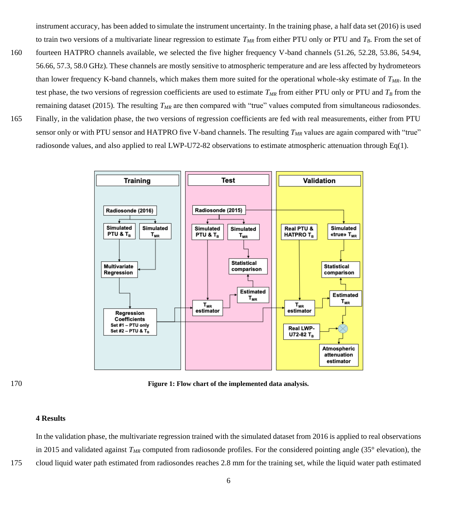instrument accuracy, has been added to simulate the instrument uncertainty. In the training phase, a half data set (2016) is used to train two versions of a multivariate linear regression to estimate *TMR* from either PTU only or PTU and *TB*. From the set of

- 160 fourteen HATPRO channels available, we selected the five higher frequency V-band channels (51.26, 52.28, 53.86, 54.94, 56.66, 57.3, 58.0 GHz). These channels are mostly sensitive to atmospheric temperature and are less affected by hydrometeors than lower frequency K-band channels, which makes them more suited for the operational whole-sky estimate of *TMR*. In the test phase, the two versions of regression coefficients are used to estimate  $T_{MR}$  from either PTU only or PTU and  $T_B$  from the remaining dataset (2015). The resulting *TMR* are then compared with "true" values computed from simultaneous radiosondes.
- 165 Finally, in the validation phase, the two versions of regression coefficients are fed with real measurements, either from PTU sensor only or with PTU sensor and HATPRO five V-band channels. The resulting *TMR* values are again compared with "true" radiosonde values, and also applied to real LWP-U72-82 observations to estimate atmospheric attenuation through Eq(1).



170 **Figure 1: Flow chart of the implemented data analysis.**

## **4 Results**

In the validation phase, the multivariate regression trained with the simulated dataset from 2016 is applied to real observations in 2015 and validated against  $T_{MR}$  computed from radiosonde profiles. For the considered pointing angle (35° elevation), the 175 cloud liquid water path estimated from radiosondes reaches 2.8 mm for the training set, while the liquid water path estimated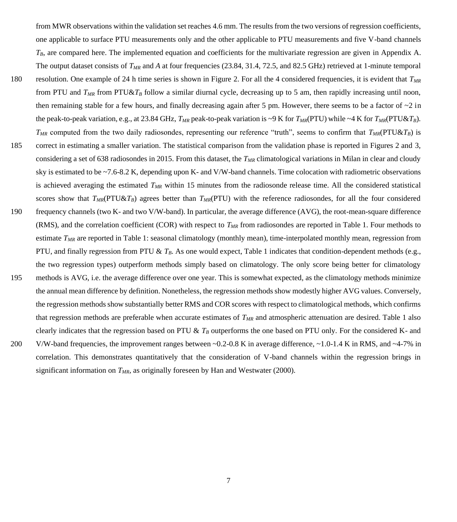from MWR observations within the validation set reaches 4.6 mm. The results from the two versions of regression coefficients, one applicable to surface PTU measurements only and the other applicable to PTU measurements and five V-band channels  $T_B$ , are compared here. The implemented equation and coefficients for the multivariate regression are given in Appendix A. The output dataset consists of *T<sub>MR</sub>* and *A* at four frequencies (23.84, 31.4, 72.5, and 82.5 GHz) retrieved at 1-minute temporal

- 180 resolution. One example of 24 h time series is shown in Figure 2. For all the 4 considered frequencies, it is evident that *TMR* from PTU and  $T_{MR}$  from PTU& $T_B$  follow a similar diurnal cycle, decreasing up to 5 am, then rapidly increasing until noon, then remaining stable for a few hours, and finally decreasing again after 5 pm. However, there seems to be a factor of  $\sim$ 2 in the peak-to-peak variation, e.g., at 23.84 GHz,  $T_{MR}$  peak-to-peak variation is ~9 K for  $T_{MR}(PTU)$  while ~4 K for  $T_{MR}(PTU\&T_B)$ .
- *TMR* computed from the two daily radiosondes, representing our reference "truth", seems to confirm that *TMR*(PTU&*TB*) is 185 correct in estimating a smaller variation. The statistical comparison from the validation phase is reported in Figures 2 and 3, considering a set of 638 radiosondes in 2015. From this dataset, the *TMR* climatological variations in Milan in clear and cloudy sky is estimated to be ~7.6-8.2 K, depending upon K- and V/W-band channels. Time colocation with radiometric observations is achieved averaging the estimated *TMR* within 15 minutes from the radiosonde release time. All the considered statistical scores show that *TMR*(PTU&*TB*) agrees better than *TMR*(PTU) with the reference radiosondes, for all the four considered
- 190 frequency channels (two K- and two V/W-band). In particular, the average difference (AVG), the root-mean-square difference (RMS), and the correlation coefficient (COR) with respect to *TMR* from radiosondes are reported in Table 1. Four methods to estimate *TMR* are reported in Table 1: seasonal climatology (monthly mean), time-interpolated monthly mean, regression from PTU, and finally regression from PTU & *TB*. As one would expect, Table 1 indicates that condition-dependent methods (e.g., the two regression types) outperform methods simply based on climatology. The only score being better for climatology
- 195 methods is AVG, i.e. the average difference over one year. This is somewhat expected, as the climatology methods minimize the annual mean difference by definition. Nonetheless, the regression methods show modestly higher AVG values. Conversely, the regression methods show substantially better RMS and COR scores with respect to climatological methods, which confirms that regression methods are preferable when accurate estimates of *TMR* and atmospheric attenuation are desired. Table 1 also clearly indicates that the regression based on PTU & *T<sup>B</sup>* outperforms the one based on PTU only. For the considered K- and
- 200 V/W-band frequencies, the improvement ranges between  $\sim$  0.2-0.8 K in average difference,  $\sim$  1.0-1.4 K in RMS, and  $\sim$  4-7% in correlation. This demonstrates quantitatively that the consideration of V-band channels within the regression brings in significant information on *TMR*, as originally foreseen by Han and Westwater (2000).

7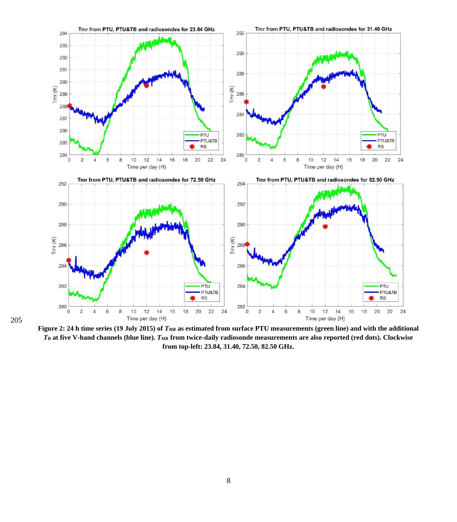

**Figure 2: 24 h time series (19 July 2015) of**  $T_{MR}$  **as estimated from surface PTU measurements (green line) and with the additional** *T<sup>B</sup>* **at five V-band channels (blue line).** *TMR* **from twice-daily radiosonde measurements are also reported (red dots). Clockwise from top-left: 23.84, 31.40, 72.50, 82.50 GHz.**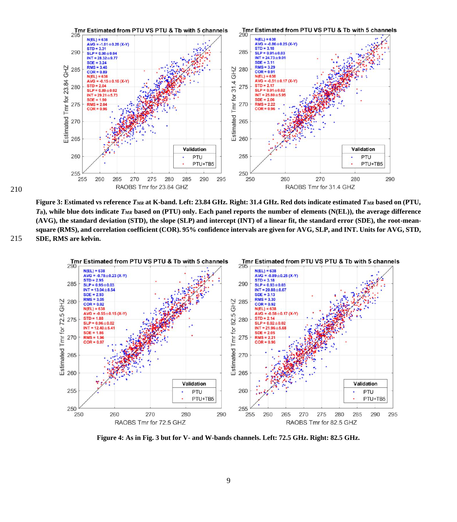

210

**Figure 3: Estimated vs reference** *TMR* **at K-band. Left: 23.84 GHz. Right: 31.4 GHz. Red dots indicate estimated** *TMR* **based on (PTU,**   $T_B$ , while blue dots indicate  $T_{MR}$  based on (PTU) only. Each panel reports the number of elements (N(EL)), the average difference **(AVG), the standard deviation (STD), the slope (SLP) and intercept (INT) of a linear fit, the standard error (SDE), the root-meansquare (RMS), and correlation coefficient (COR). 95% confidence intervals are given for AVG, SLP, and INT. Units for AVG, STD,**  215 **SDE, RMS are kelvin.**



**Figure 4: As in Fig. 3 but for V- and W-bands channels. Left: 72.5 GHz. Right: 82.5 GHz.**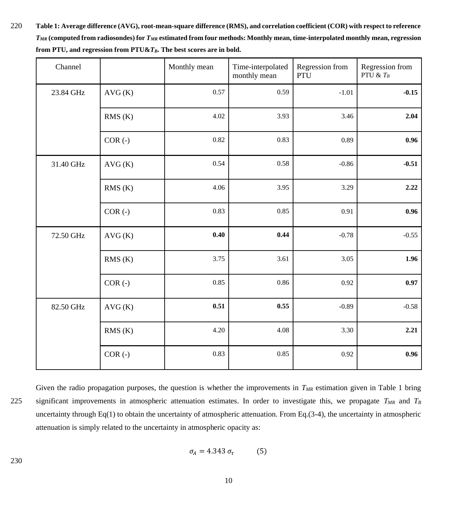220 **Table 1: Average difference (AVG), root-mean-square difference (RMS), and correlation coefficient (COR) with respect to reference**  *TMR* **(computed from radiosondes) for** *TMR* **estimated from four methods: Monthly mean, time-interpolated monthly mean, regression from PTU, and regression from PTU&***TB***. The best scores are in bold.** 

| Channel   |           | Monthly mean | Time-interpolated<br>monthly mean | Regression from<br><b>PTU</b> | Regression from<br>PTU & $T_B$ |
|-----------|-----------|--------------|-----------------------------------|-------------------------------|--------------------------------|
| 23.84 GHz | AVG(K)    | 0.57         | 0.59                              | $-1.01$                       | $-0.15$                        |
|           | RMS(K)    | 4.02         | 3.93                              | 3.46                          | 2.04                           |
|           | $COR(-)$  | 0.82         | 0.83                              | 0.89                          | 0.96                           |
| 31.40 GHz | AVG(K)    | 0.54         | 0.58                              | $-0.86$                       | $-0.51$                        |
|           | RMS(K)    | 4.06         | 3.95                              | 3.29                          | 2.22                           |
|           | $COR(-)$  | 0.83         | 0.85                              | 0.91                          | 0.96                           |
| 72.50 GHz | AVG(K)    | 0.40         | 0.44                              | $-0.78$                       | $-0.55$                        |
|           | RMS(K)    | 3.75         | 3.61                              | 3.05                          | 1.96                           |
|           | $COR(-)$  | 0.85         | 0.86                              | 0.92                          | 0.97                           |
| 82.50 GHz | AVG(K)    | 0.51         | 0.55                              | $-0.89$                       | $-0.58$                        |
|           | RMS(K)    | 4.20         | 4.08                              | 3.30                          | 2.21                           |
|           | $COR (-)$ | 0.83         | 0.85                              | 0.92                          | 0.96                           |

Given the radio propagation purposes, the question is whether the improvements in  $T_{MR}$  estimation given in Table 1 bring 225 significant improvements in atmospheric attenuation estimates. In order to investigate this, we propagate *TMR* and *T<sup>B</sup>* uncertainty through Eq(1) to obtain the uncertainty of atmospheric attenuation. From Eq.(3-4), the uncertainty in atmospheric attenuation is simply related to the uncertainty in atmospheric opacity as:

$$
\sigma_A = 4.343 \sigma_{\tau} \tag{5}
$$

230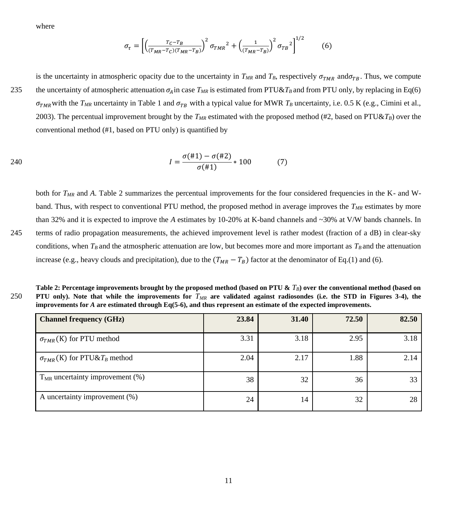where

$$
\sigma_{\tau} = \left[ \left( \frac{T_C - T_B}{(T_{MR} - T_C)(T_{MR} - T_B)} \right)^2 \sigma_{TMR}^2 + \left( \frac{1}{(T_{MR} - T_B)} \right)^2 \sigma_{TB}^2 \right]^{1/2} \tag{6}
$$

is the uncertainty in atmospheric opacity due to the uncertainty in  $T_{MR}$  and  $T_B$ , respectively  $\sigma_{TMR}$  and  $\sigma_{TB}$ . Thus, we compute 235 the uncertainty of atmospheric attenuation  $\sigma_A$  in case  $T_{MR}$  is estimated from PTU& $T_B$  and from PTU only, by replacing in Eq(6)  $\sigma_{TMR}$  with the  $T_{MR}$  uncertainty in Table 1 and  $\sigma_{TB}$  with a typical value for MWR  $T_B$  uncertainty, i.e. 0.5 K (e.g., Cimini et al., 2003). The percentual improvement brought by the *TMR* estimated with the proposed method (#2, based on PTU&*TB*) over the conventional method (#1, based on PTU only) is quantified by

240 
$$
I = \frac{\sigma(\#1) - \sigma(\#2)}{\sigma(\#1)} * 100
$$
 (7)

both for *TMR* and *A*. Table 2 summarizes the percentual improvements for the four considered frequencies in the K- and Wband. Thus, with respect to conventional PTU method, the proposed method in average improves the *TMR* estimates by more than 32% and it is expected to improve the *A* estimates by 10-20% at K-band channels and ~30% at V/W bands channels. In 245 terms of radio propagation measurements, the achieved improvement level is rather modest (fraction of a dB) in clear-sky conditions, when  $T_B$  and the atmospheric attenuation are low, but becomes more and more important as  $T_B$  and the attenuation increase (e.g., heavy clouds and precipitation), due to the  $(T_{MR} - T_B)$  factor at the denominator of Eq.(1) and (6).

| Table 2: Percentage improvements brought by the proposed method (based on PTU & $T_B$ ) over the conventional method (based on    |  |  |  |  |
|-----------------------------------------------------------------------------------------------------------------------------------|--|--|--|--|
| 250 PTU only). Note that while the improvements for $T_{MR}$ are validated against radiosondes (i.e. the STD in Figures 3-4), the |  |  |  |  |
| improvements for $A$ are estimated through Eq(5-6), and thus represent an estimate of the expected improvements.                  |  |  |  |  |

| <b>Channel frequency (GHz)</b>                   | 23.84 | 31.40 | 72.50 | 82.50 |
|--------------------------------------------------|-------|-------|-------|-------|
| $\sigma_{TMR}$ (K) for PTU method                | 3.31  | 3.18  | 2.95  | 3.18  |
| $\sigma_{TMR}$ (K) for PTU&T <sub>B</sub> method | 2.04  | 2.17  | 1.88  | 2.14  |
| $TMR$ uncertainty improvement $(\%)$             | 38    | 32    | 36    | 33    |
| A uncertainty improvement (%)                    | 24    | 14    | 32    | 28    |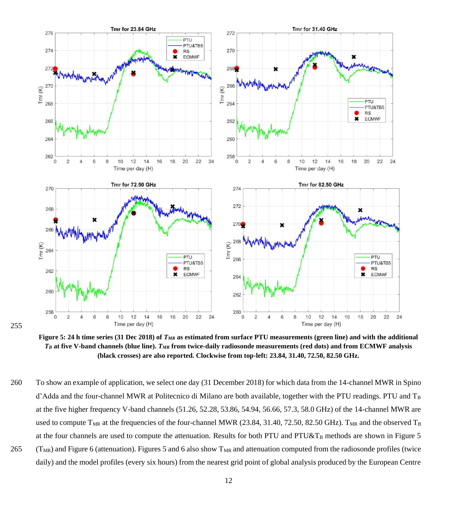

**Figure 5: 24 h time series (31 Dec 2018) of** *TMR* **as estimated from surface PTU measurements (green line) and with the additional**  *T<sup>B</sup>* **at five V-band channels (blue line).** *TMR* **from twice-daily radiosonde measurements (red dots) and from ECMWF analysis (black crosses) are also reported. Clockwise from top-left: 23.84, 31.40, 72.50, 82.50 GHz.**

255

260 To show an example of application, we select one day (31 December 2018) for which data from the 14-channel MWR in Spino d'Adda and the four-channel MWR at Politecnico di Milano are both available, together with the PTU readings. PTU and  $T_B$ at the five higher frequency V-band channels (51.26, 52.28, 53.86, 54.94, 56.66, 57.3, 58.0 GHz) of the 14-channel MWR are used to compute  $T_{MR}$  at the frequencies of the four-channel MWR (23.84, 31.40, 72.50, 82.50 GHz).  $T_{MR}$  and the observed  $T_B$ at the four channels are used to compute the attenuation. Results for both PTU and PTU&T<sub>B</sub> methods are shown in Figure 5  $265$  (T<sub>MR</sub>) and Figure 6 (attenuation). Figures 5 and 6 also show T<sub>MR</sub> and attenuation computed from the radiosonde profiles (twice daily) and the model profiles (every six hours) from the nearest grid point of global analysis produced by the European Centre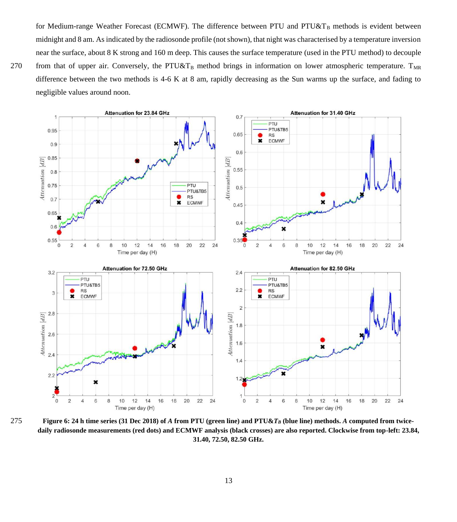for Medium-range Weather Forecast (ECMWF). The difference between PTU and PTU&T<sub>B</sub> methods is evident between midnight and 8 am. As indicated by the radiosonde profile (not shown), that night was characterised by a temperature inversion near the surface, about 8 K strong and 160 m deep. This causes the surface temperature (used in the PTU method) to decouple 270 from that of upper air. Conversely, the PTU&T<sub>B</sub> method brings in information on lower atmospheric temperature. T<sub>MR</sub> difference between the two methods is 4-6 K at 8 am, rapidly decreasing as the Sun warms up the surface, and fading to negligible values around noon.



275 **Figure 6: 24 h time series (31 Dec 2018) of** *A* **from PTU (green line) and PTU&***T<sup>B</sup>* **(blue line) methods.** *A* **computed from twicedaily radiosonde measurements (red dots) and ECMWF analysis (black crosses) are also reported. Clockwise from top-left: 23.84, 31.40, 72.50, 82.50 GHz.**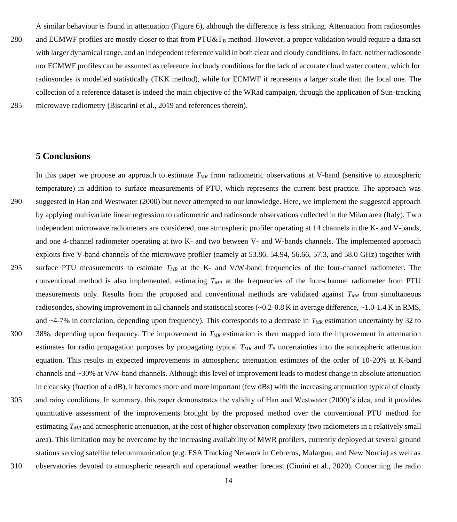A similar behaviour is found in attenuation (Figure 6), although the difference is less striking. Attenuation from radiosondes 280 and ECMWF profiles are mostly closer to that from PTU&T<sub>B</sub> method. However, a proper validation would require a data set with larger dynamical range, and an independent reference valid in both clear and cloudy conditions. In fact, neither radiosonde nor ECMWF profiles can be assumed as reference in cloudy conditions for the lack of accurate cloud water content, which for radiosondes is modelled statistically (TKK method), while for ECMWF it represents a larger scale than the local one. The collection of a reference dataset is indeed the main objective of the WRad campaign, through the application of Sun-tracking 285 microwave radiometry (Biscarini et al., 2019 and references therein).

## **5 Conclusions**

In this paper we propose an approach to estimate *TMR* from radiometric observations at V-band (sensitive to atmospheric temperature) in addition to surface measurements of PTU, which represents the current best practice. The approach was 290 suggested in Han and Westwater (2000) but never attempted to our knowledge. Here, we implement the suggested approach by applying multivariate linear regression to radiometric and radiosonde observations collected in the Milan area (Italy). Two independent microwave radiometers are considered, one atmospheric profiler operating at 14 channels in the K- and V-bands, and one 4-channel radiometer operating at two K- and two between V- and W-bands channels. The implemented approach exploits five V-band channels of the microwave profiler (namely at 53.86, 54.94, 56.66, 57.3, and 58.0 GHz) together with 295 surface PTU measurements to estimate *TMR* at the K- and V/W-band frequencies of the four-channel radiometer. The conventional method is also implemented, estimating *TMR* at the frequencies of the four-channel radiometer from PTU measurements only. Results from the proposed and conventional methods are validated against *TMR* from simultaneous radiosondes, showing improvement in all channels and statistical scores (~0.2-0.8 K in average difference, ~1.0-1.4 K in RMS, and ~4-7% in correlation, depending upon frequency). This corresponds to a decrease in  $T_{MR}$  estimation uncertainty by 32 to 300 38%, depending upon frequency. The improvement in *TMR* estimation is then mapped into the improvement in attenuation estimates for radio propagation purposes by propagating typical *TMR* and *T<sup>B</sup>* uncertainties into the atmospheric attenuation equation. This results in expected improvements in atmospheric attenuation estimates of the order of 10-20% at K-band channels and ~30% at V/W-band channels. Although this level of improvement leads to modest change in absolute attenuation in clear sky (fraction of a dB), it becomes more and more important (few dBs) with the increasing attenuation typical of cloudy 305 and rainy conditions. In summary, this paper demonstrates the validity of Han and Westwater (2000)'s idea, and it provides quantitative assessment of the improvements brought by the proposed method over the conventional PTU method for estimating  $T_{MR}$  and atmospheric attenuation, at the cost of higher observation complexity (two radiometers in a relatively small area). This limitation may be overcome by the increasing availability of MWR profilers, currently deployed at several ground stations serving satellite telecommunication (e.g. ESA Tracking Network in Cebreros, Malargue, and New Norcia) as well as 310 observatories devoted to atmospheric research and operational weather forecast (Cimini et al., 2020). Concerning the radio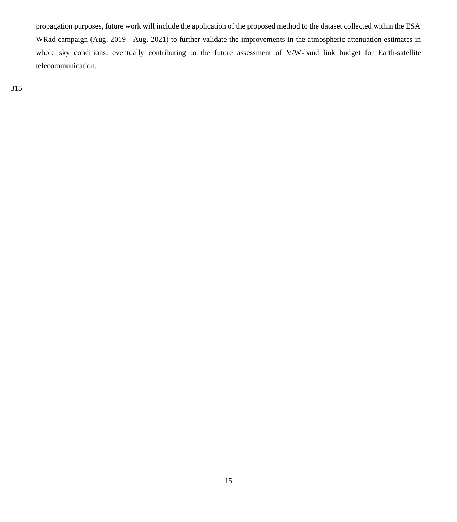propagation purposes, future work will include the application of the proposed method to the dataset collected within the ESA WRad campaign (Aug. 2019 - Aug. 2021) to further validate the improvements in the atmospheric attenuation estimates in whole sky conditions, eventually contributing to the future assessment of V/W-band link budget for Earth-satellite telecommunication.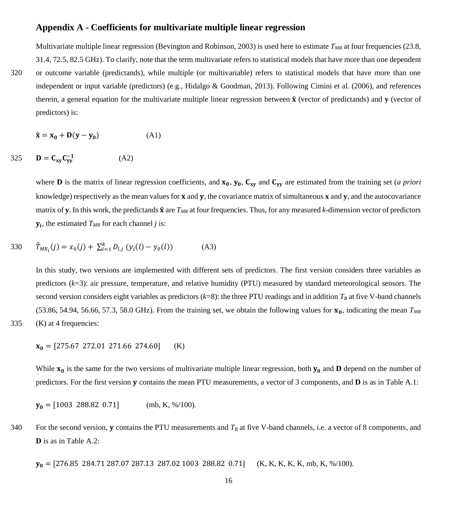## **Appendix A - Coefficients for multivariate multiple linear regression**

Multivariate multiple linear regression (Bevington and Robinson, 2003) is used here to estimate *TMR* at four frequencies (23.8, 31.4, 72.5, 82.5 GHz). To clarify, note that the term multivariate refers to statistical models that have more than one dependent

320 or outcome variable (predictands), while multiple (or multivariable) refers to statistical models that have more than one independent or input variable (predictors) (e.g., Hidalgo & Goodman, 2013). Following Cimini et al. (2006), and references therein, a general equation for the multivariate multiple linear regression between  $\hat{\mathbf{x}}$  (vector of predictands) and **v** (vector of predictors) is:

$$
\hat{\mathbf{x}} = \mathbf{x}_0 + \mathbf{D}(\mathbf{y} - \mathbf{y}_0) \tag{A1}
$$

$$
325 \qquad \mathbf{D} = \mathbf{C}_{\mathbf{xy}} \mathbf{C}_{\mathbf{yy}}^{-1} \tag{A2}
$$

where **D** is the matrix of linear regression coefficients, and  $x_0$ ,  $y_0$ ,  $C_{xy}$  and  $C_{yy}$  are estimated from the training set (*a priori* knowledge) respectively as the mean values for  $x$  and  $y$ , the covariance matrix of simultaneous  $x$  and  $y$ , and the autocovariance matrix of **y**. In this work, the predictands  $\hat{\mathbf{x}}$  are  $T_{MR}$  at four frequencies. Thus, for any measured *k*-dimension vector of predictors  $y_i$ , the estimated  $T_{MR}$  for each channel *j* is:

330 
$$
\hat{T}_{MR_i}(j) = x_0(j) + \sum_{l=1}^{k} D_{l,j} (y_i(l) - y_0(l))
$$
 (A3)

In this study, two versions are implemented with different sets of predictors. The first version considers three variables as predictors (*k*=3): air pressure, temperature, and relative humidity (PTU) measured by standard meteorological sensors. The second version considers eight variables as predictors  $(k=8)$ : the three PTU readings and in addition  $T_B$  at five V-band channels (53.86, 54.94, 56.66, 57.3, 58.0 GHz). From the training set, we obtain the following values for  $x_0$ , indicating the mean  $T_{MR}$ 335 (K) at 4 frequencies:

$$
\mathbf{v}_1 = \begin{bmatrix} 275.67 & 272.01 & 271.66 & 274.60 \end{bmatrix} \quad (K)
$$

$$
x_0 = [275.07 \ 272.01 \ 271.00 \ 274.00] \quad (K)
$$

While  $x_0$  is the same for the two versions of multivariate multiple linear regression, both  $y_0$  and **D** depend on the number of predictors. For the first version **y** contains the mean PTU measurements, a vector of 3 components, and **D** is as in Table A.1:

$$
\mathbf{y_0} = [1003 \ 288.82 \ 0.71] \quad (\text{mb}, \, \text{K}, \, \frac{\%}{100}).
$$

340 For the second version, **y** contains the PTU measurements and  $T<sub>B</sub>$  at five V-band channels, i.e. a vector of 8 components, and **D** is as in Table A.2:

 $y_0 = [276.85 \ 284.71 \ 287.07 \ 287.13 \ 287.02 \ 1003 \ 288.82 \ 0.71]$  (K, K, K, K, K, mb, K, %/100).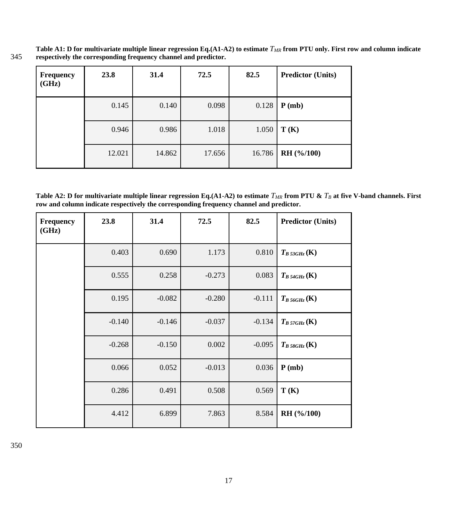**Table A1: D for multivariate multiple linear regression Eq.(A1-A2) to estimate** *TMR* **from PTU only. First row and column indicate**  345 **respectively the corresponding frequency channel and predictor.**

| <b>Frequency</b><br>(GHz) | 23.8   | 31.4   | 72.5   | 82.5   | <b>Predictor (Units)</b> |
|---------------------------|--------|--------|--------|--------|--------------------------|
|                           | 0.145  | 0.140  | 0.098  | 0.128  | P(mb)                    |
|                           | 0.946  | 0.986  | 1.018  | 1.050  | T(K)                     |
|                           | 12.021 | 14.862 | 17.656 | 16.786 | RH (%/100)               |

Table A2: D for multivariate multiple linear regression Eq.(A1-A2) to estimate  $T_{MR}$  from PTU &  $T_B$  at five V-band channels. First **row and column indicate respectively the corresponding frequency channel and predictor.**

| <b>Frequency</b><br>(GHz) | 23.8     | 31.4     | 72.5     | 82.5     | <b>Predictor (Units)</b> |
|---------------------------|----------|----------|----------|----------|--------------------------|
|                           | 0.403    | 0.690    | 1.173    | 0.810    | $T_{B\,53GHz}$ (K)       |
|                           | 0.555    | 0.258    | $-0.273$ | 0.083    | $T_{B\,54GHz}$ (K)       |
|                           | 0.195    | $-0.082$ | $-0.280$ | $-0.111$ | $T_{B\,56GHz}$ (K)       |
|                           | $-0.140$ | $-0.146$ | $-0.037$ | $-0.134$ | $T_B$ 57GHz (K)          |
|                           | $-0.268$ | $-0.150$ | 0.002    | $-0.095$ | $T_B$ 58GHz (K)          |
|                           | 0.066    | 0.052    | $-0.013$ | 0.036    | P(mb)                    |
|                           | 0.286    | 0.491    | 0.508    | 0.569    | T(K)                     |
|                           | 4.412    | 6.899    | 7.863    | 8.584    | RH (%/100)               |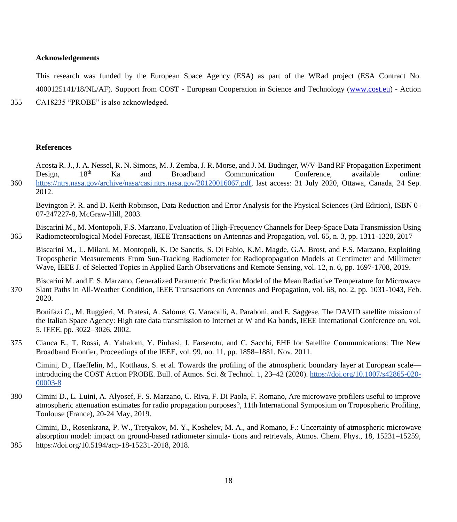### **Acknowledgements**

This research was funded by the European Space Agency (ESA) as part of the WRad project (ESA Contract No. 4000125141/18/NL/AF). Support from COST - European Cooperation in Science and Technology [\(www.cost.eu\)](http://www.cost.eu/) - Action

355 CA18235 "PROBE" is also acknowledged.

#### **References**

Acosta R. J., J. A. Nessel, R. N. Simons, M. J. Zemba, J. R. Morse, and J. M. Budinger, W/V-Band RF Propagation Experiment<br>Design. 18<sup>th</sup> Ka and Broadband Communication Conference. available online: Design, 18<sup>th</sup> Ka and Broadband Communication Conference, available online: 360 [https://ntrs.nasa.gov/archive/nasa/casi.ntrs.nasa.gov/20120016067.pdf,](https://ntrs.nasa.gov/archive/nasa/casi.ntrs.nasa.gov/20120016067.pdf) last access: 31 July 2020, Ottawa, Canada, 24 Sep. 2012.

Bevington P. R. and D. Keith Robinson, Data Reduction and Error Analysis for the Physical Sciences (3rd Edition), ISBN 0- 07-247227-8, McGraw-Hill, 2003.

Biscarini M., M. Montopoli, F.S. Marzano, Evaluation of High-Frequency Channels for Deep-Space Data Transmission Using 365 Radiometeorological Model Forecast, IEEE Transactions on Antennas and Propagation, vol. 65, n. 3, pp. 1311-1320, 2017

Biscarini M., L. Milani, M. Montopoli, K. De Sanctis, S. Di Fabio, K.M. Magde, G.A. Brost, and F.S. Marzano, Exploiting Tropospheric Measurements From Sun-Tracking Radiometer for Radiopropagation Models at Centimeter and Millimeter Wave, IEEE J. of Selected Topics in Applied Earth Observations and Remote Sensing, vol. 12, n. 6, pp. 1697-1708, 2019.

Biscarini M. and F. S. Marzano, Generalized Parametric Prediction Model of the Mean Radiative Temperature for Microwave 370 Slant Paths in All-Weather Condition, IEEE Transactions on Antennas and Propagation, vol. 68, no. 2, pp. 1031-1043, Feb. 2020.

Bonifazi C., M. Ruggieri, M. Pratesi, A. Salome, G. Varacalli, A. Paraboni, and E. Saggese, The DAVID satellite mission of the Italian Space Agency: High rate data transmission to Internet at W and Ka bands, IEEE International Conference on, vol. 5. IEEE, pp. 3022–3026, 2002.

375 Cianca E., T. Rossi, A. Yahalom, Y. Pinhasi, J. Farserotu, and C. Sacchi, EHF for Satellite Communications: The New Broadband Frontier, Proceedings of the IEEE, vol. 99, no. 11, pp. 1858–1881, Nov. 2011.

Cimini, D., Haeffelin, M., Kotthaus, S. et al. Towards the profiling of the atmospheric boundary layer at European scale introducing the COST Action PROBE. Bull. of Atmos. Sci. & Technol. 1, 23–42 (2020)[. https://doi.org/10.1007/s42865-020-](https://doi.org/10.1007/s42865-020-00003-8) [00003-8](https://doi.org/10.1007/s42865-020-00003-8)

380 Cimini D., L. Luini, A. Alyosef, F. S. Marzano, C. Riva, F. Di Paola, F. Romano, Are microwave profilers useful to improve atmospheric attenuation estimates for radio propagation purposes?, 11th International Symposium on Tropospheric Profiling, Toulouse (France), 20-24 May, 2019.

Cimini, D., Rosenkranz, P. W., Tretyakov, M. Y., Koshelev, M. A., and Romano, F.: Uncertainty of atmospheric microwave absorption model: impact on ground-based radiometer simula- tions and retrievals, Atmos. Chem. Phys., 18, 15231–15259, 385 https://doi.org/10.5194/acp-18-15231-2018, 2018.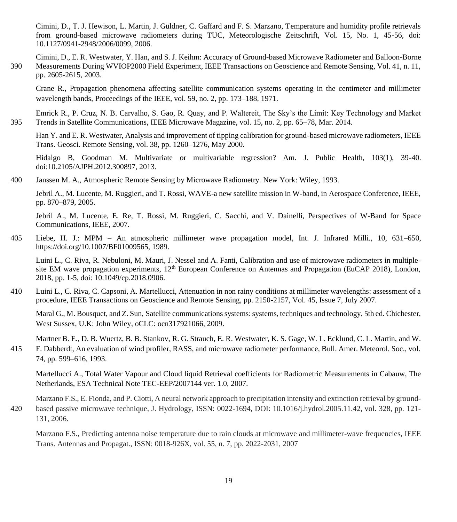Cimini, D., T. J. Hewison, L. Martin, J. Güldner, C. Gaffard and F. S. Marzano, Temperature and humidity profile retrievals from ground-based microwave radiometers during TUC, Meteorologische Zeitschrift, Vol. 15, No. 1, 45-56, doi: 10.1127/0941-2948/2006/0099, 2006.

Cimini, D., E. R. Westwater, Y. Han, and S. J. Keihm: Accuracy of Ground-based Microwave Radiometer and Balloon-Borne 390 Measurements During WVIOP2000 Field Experiment, IEEE Transactions on Geoscience and Remote Sensing, Vol. 41, n. 11, pp. 2605-2615, 2003.

Crane R., Propagation phenomena affecting satellite communication systems operating in the centimeter and millimeter wavelength bands, Proceedings of the IEEE, vol. 59, no. 2, pp. 173–188, 1971.

Emrick R., P. Cruz, N. B. Carvalho, S. Gao, R. Quay, and P. Waltereit, The Sky's the Limit: Key Technology and Market 395 Trends in Satellite Communications, IEEE Microwave Magazine, vol. 15, no. 2, pp. 65–78, Mar. 2014.

Han Y. and E. R. Westwater, Analysis and improvement of tipping calibration for ground-based microwave radiometers, IEEE Trans. Geosci. Remote Sensing, vol. 38, pp. 1260–1276, May 2000.

Hidalgo B, Goodman M. Multivariate or multivariable regression? Am. J. Public Health, 103(1), 39-40. doi:10.2105/AJPH.2012.300897, 2013.

400 Janssen M. A., Atmospheric Remote Sensing by Microwave Radiometry. New York: Wiley, 1993.

Jebril A., M. Lucente, M. Ruggieri, and T. Rossi, WAVE-a new satellite mission in W-band, in Aerospace Conference, IEEE, pp. 870–879, 2005.

Jebril A., M. Lucente, E. Re, T. Rossi, M. Ruggieri, C. Sacchi, and V. Dainelli, Perspectives of W-Band for Space Communications, IEEE, 2007.

405 Liebe, H. J.: MPM – An atmospheric millimeter wave propagation model, Int. J. Infrared Milli., 10, 631–650, https://doi.org/10.1007/BF01009565, 1989.

Luini L., C. Riva, R. Nebuloni, M. Mauri, J. Nessel and A. Fanti, Calibration and use of microwave radiometers in multiplesite EM wave propagation experiments, 12<sup>th</sup> European Conference on Antennas and Propagation (EuCAP 2018), London, 2018, pp. 1-5, doi: 10.1049/cp.2018.0906.

410 Luini L., C. Riva, C. Capsoni, A. Martellucci, Attenuation in non rainy conditions at millimeter wavelengths: assessment of a procedure, IEEE Transactions on Geoscience and Remote Sensing, pp. 2150-2157, Vol. 45, Issue 7, July 2007.

Maral G., M. Bousquet, and Z. Sun, Satellite communications systems: systems, techniques and technology, 5th ed. Chichester, West Sussex, U.K: John Wiley, oCLC: ocn317921066, 2009.

Martner B. E., D. B. Wuertz, B. B. Stankov, R. G. Strauch, E. R. Westwater, K. S. Gage, W. L. Ecklund, C. L. Martin, and W.

415 F. Dabberdt, An evaluation of wind profiler, RASS, and microwave radiometer performance, Bull. Amer. Meteorol. Soc., vol. 74, pp. 599–616, 1993.

Martellucci A., Total Water Vapour and Cloud liquid Retrieval coefficients for Radiometric Measurements in Cabauw, The Netherlands, ESA Technical Note TEC-EEP/2007144 ver. 1.0, 2007.

Marzano F.S., E. Fionda, and P. Ciotti, A neural network approach to precipitation intensity and extinction retrieval by ground-420 based passive microwave technique, J. Hydrology, ISSN: 0022-1694, DOI: 10.1016/j.hydrol.2005.11.42, vol. 328, pp. 121- 131, 2006.

Marzano F.S., Predicting antenna noise temperature due to rain clouds at microwave and millimeter-wave frequencies, IEEE Trans. Antennas and Propagat., ISSN: 0018-926X, vol. 55, n. 7, pp. 2022-2031, 2007